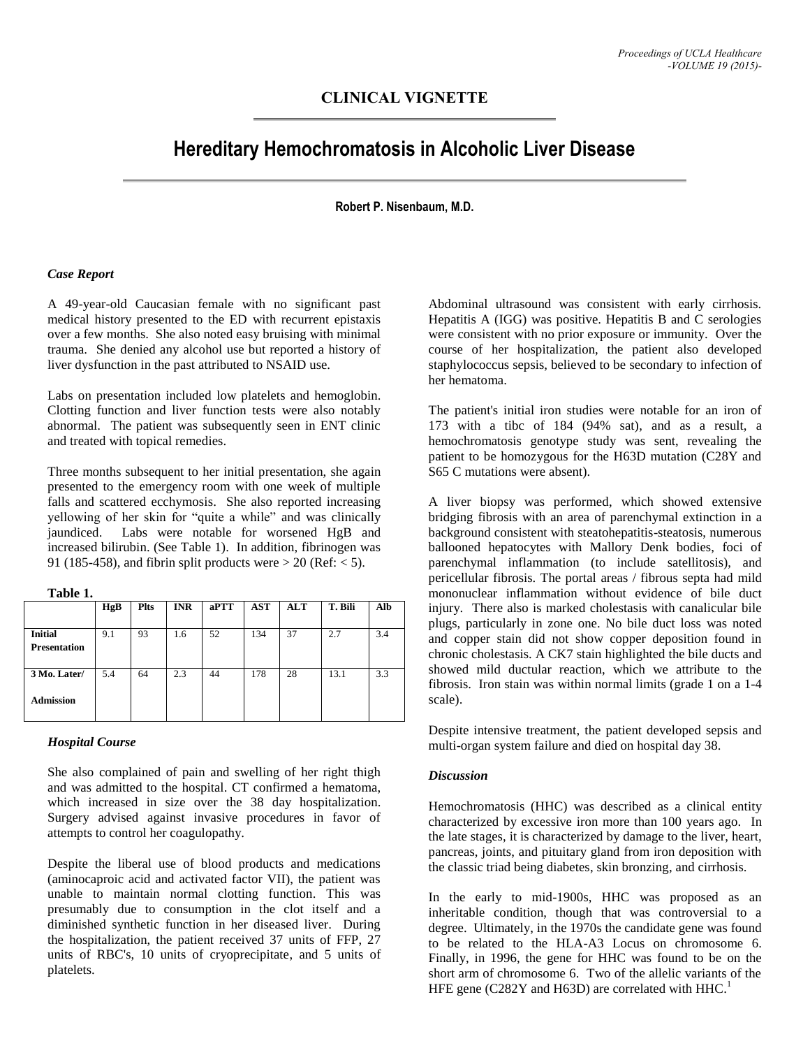# **CLINICAL VIGNETTE**

# **Hereditary Hemochromatosis in Alcoholic Liver Disease**

# **Robert P. Nisenbaum, M.D.**

#### *Case Report*

A 49-year-old Caucasian female with no significant past medical history presented to the ED with recurrent epistaxis over a few months. She also noted easy bruising with minimal trauma. She denied any alcohol use but reported a history of liver dysfunction in the past attributed to NSAID use.

Labs on presentation included low platelets and hemoglobin. Clotting function and liver function tests were also notably abnormal. The patient was subsequently seen in ENT clinic and treated with topical remedies.

Three months subsequent to her initial presentation, she again presented to the emergency room with one week of multiple falls and scattered ecchymosis. She also reported increasing yellowing of her skin for "quite a while" and was clinically jaundiced. Labs were notable for worsened HgB and increased bilirubin. (See Table 1). In addition, fibrinogen was 91 (185-458), and fibrin split products were  $> 20$  (Ref:  $< 5$ ).

**Table 1.**

|                     | HgB | <b>Plts</b> | <b>INR</b> | aPTT | <b>AST</b> | <b>ALT</b> | T. Bili | Alb |
|---------------------|-----|-------------|------------|------|------------|------------|---------|-----|
|                     |     |             |            |      |            |            |         |     |
| <b>Initial</b>      | 9.1 | 93          | 1.6        | 52   | 134        | 37         | 2.7     | 3.4 |
| <b>Presentation</b> |     |             |            |      |            |            |         |     |
|                     |     |             |            |      |            |            |         |     |
| 3 Mo. Later/        | 5.4 | 64          | 2.3        | 44   | 178        | 28         | 13.1    | 3.3 |
|                     |     |             |            |      |            |            |         |     |
| <b>Admission</b>    |     |             |            |      |            |            |         |     |
|                     |     |             |            |      |            |            |         |     |

## *Hospital Course*

She also complained of pain and swelling of her right thigh and was admitted to the hospital. CT confirmed a hematoma, which increased in size over the 38 day hospitalization. Surgery advised against invasive procedures in favor of attempts to control her coagulopathy.

Despite the liberal use of blood products and medications (aminocaproic acid and activated factor VII), the patient was unable to maintain normal clotting function. This was presumably due to consumption in the clot itself and a diminished synthetic function in her diseased liver. During the hospitalization, the patient received 37 units of FFP, 27 units of RBC's, 10 units of cryoprecipitate, and 5 units of platelets.

Abdominal ultrasound was consistent with early cirrhosis. Hepatitis A (IGG) was positive. Hepatitis B and C serologies were consistent with no prior exposure or immunity. Over the course of her hospitalization, the patient also developed staphylococcus sepsis, believed to be secondary to infection of her hematoma.

The patient's initial iron studies were notable for an iron of 173 with a tibc of 184 (94% sat), and as a result, a hemochromatosis genotype study was sent, revealing the patient to be homozygous for the H63D mutation (C28Y and S65 C mutations were absent).

A liver biopsy was performed, which showed extensive bridging fibrosis with an area of parenchymal extinction in a background consistent with steatohepatitis-steatosis, numerous ballooned hepatocytes with Mallory Denk bodies, foci of parenchymal inflammation (to include satellitosis), and pericellular fibrosis. The portal areas / fibrous septa had mild mononuclear inflammation without evidence of bile duct injury. There also is marked cholestasis with canalicular bile plugs, particularly in zone one. No bile duct loss was noted and copper stain did not show copper deposition found in chronic cholestasis. A CK7 stain highlighted the bile ducts and showed mild ductular reaction, which we attribute to the fibrosis. Iron stain was within normal limits (grade 1 on a 1-4 scale).

Despite intensive treatment, the patient developed sepsis and multi-organ system failure and died on hospital day 38.

#### *Discussion*

Hemochromatosis (HHC) was described as a clinical entity characterized by excessive iron more than 100 years ago. In the late stages, it is characterized by damage to the liver, heart, pancreas, joints, and pituitary gland from iron deposition with the classic triad being diabetes, skin bronzing, and cirrhosis.

In the early to mid-1900s, HHC was proposed as an inheritable condition, though that was controversial to a degree. Ultimately, in the 1970s the candidate gene was found to be related to the HLA-A3 Locus on chromosome 6. Finally, in 1996, the gene for HHC was found to be on the short arm of chromosome 6. Two of the allelic variants of the HFE gene (C282Y and H63D) are correlated with HHC.<sup>1</sup>